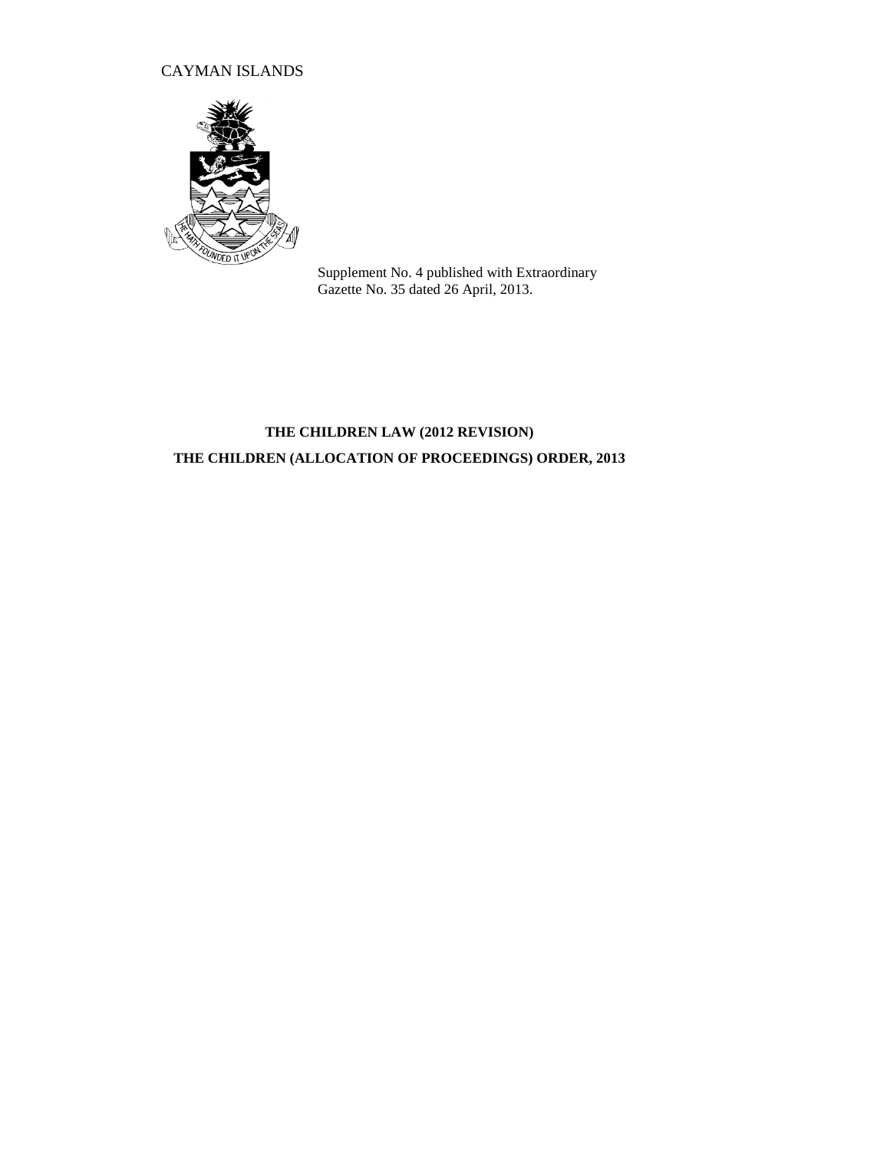## CAYMAN ISLANDS



Supplement No. 4 published with Extraordinary Gazette No. 35 dated 26 April, 2013.

# **THE CHILDREN LAW (2012 REVISION) THE CHILDREN (ALLOCATION OF PROCEEDINGS) ORDER, 2013**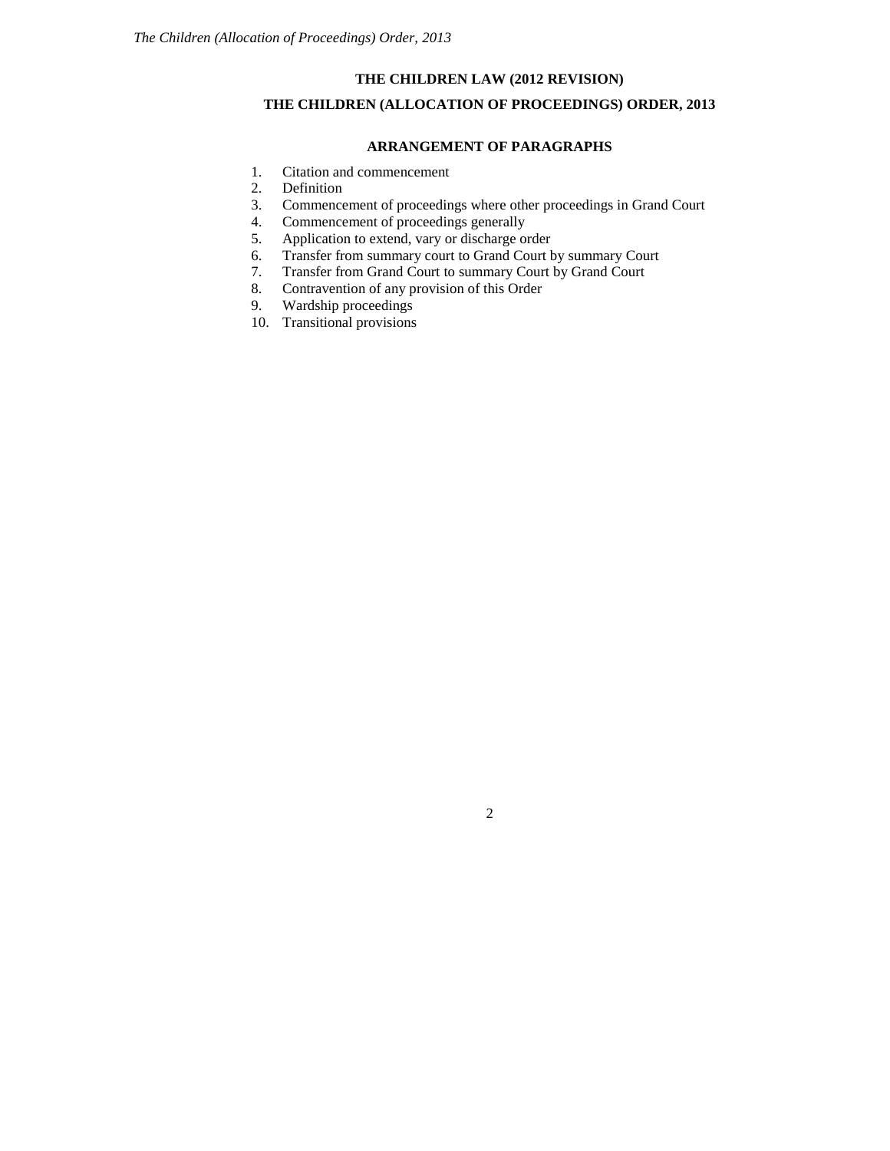## **THE CHILDREN LAW (2012 REVISION)**

## **THE CHILDREN (ALLOCATION OF PROCEEDINGS) ORDER, 2013**

### **ARRANGEMENT OF PARAGRAPHS**

- 1. Citation and commencement
- 2. Definition
- 3. Commencement of proceedings where other proceedings in Grand Court 4. Commencement of proceedings generally
- Commencement of proceedings generally
- 5. Application to extend, vary or discharge order
- 6. Transfer from summary court to Grand Court by summary Court
- 7. Transfer from Grand Court to summary Court by Grand Court
- 8. Contravention of any provision of this Order
- 9. Wardship proceedings
- 10. Transitional provisions

2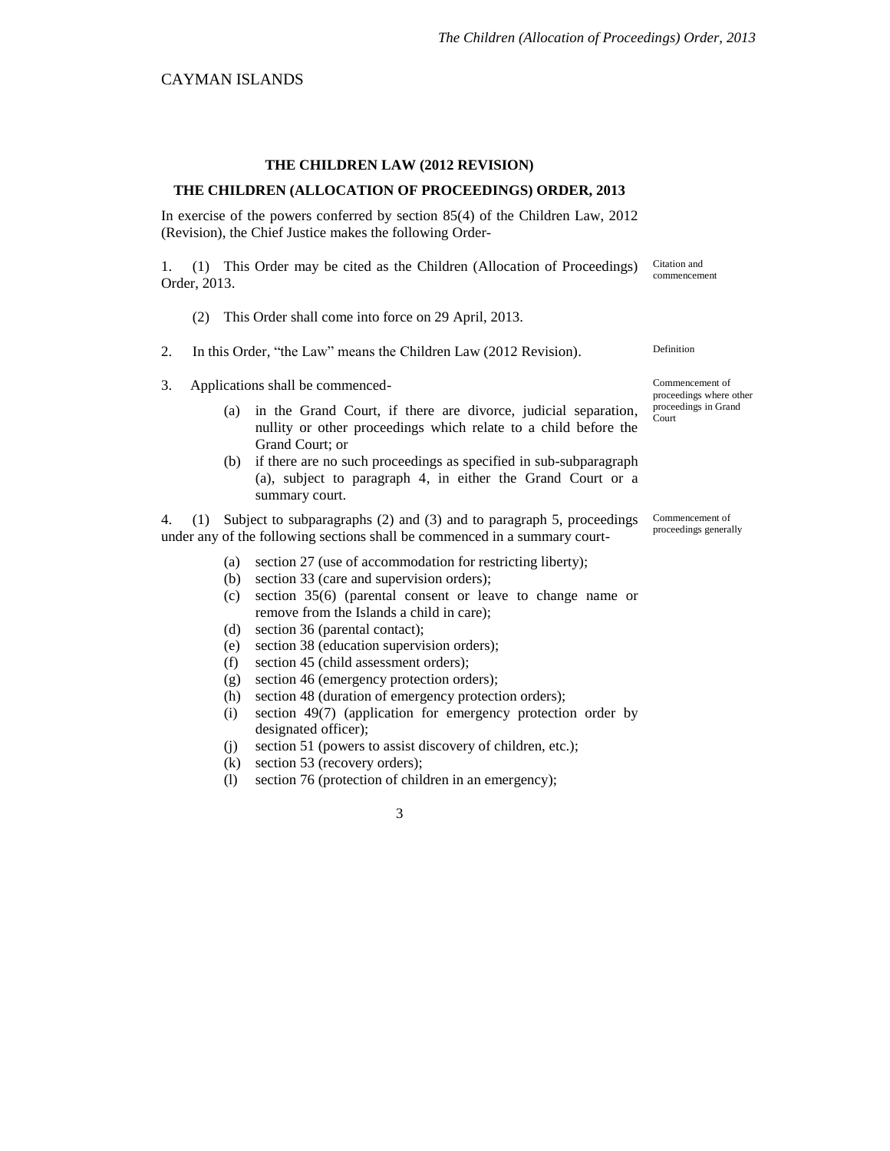#### **THE CHILDREN LAW (2012 REVISION)**

#### **THE CHILDREN (ALLOCATION OF PROCEEDINGS) ORDER, 2013**

In exercise of the powers conferred by section 85(4) of the Children Law, 2012 (Revision), the Chief Justice makes the following Order-

1. (1) This Order may be cited as the Children (Allocation of Proceedings) Order, 2013. Citation and

- (2) This Order shall come into force on 29 April, 2013.
- 2. In this Order, "the Law" means the Children Law (2012 Revision).
- 3. Applications shall be commenced-
	- (a) in the Grand Court, if there are divorce, judicial separation, nullity or other proceedings which relate to a child before the Grand Court; or
	- (b) if there are no such proceedings as specified in sub-subparagraph (a), subject to paragraph 4, in either the Grand Court or a summary court.

4. (1) Subject to subparagraphs (2) and (3) and to paragraph 5, proceedings under any of the following sections shall be commenced in a summary court-

- (a) section 27 (use of accommodation for restricting liberty);
- (b) section 33 (care and supervision orders);
- (c) section 35(6) (parental consent or leave to change name or remove from the Islands a child in care);
- (d) section 36 (parental contact);
- (e) section 38 (education supervision orders);
- (f) section 45 (child assessment orders);
- (g) section 46 (emergency protection orders);
- (h) section 48 (duration of emergency protection orders);
- (i) section 49(7) (application for emergency protection order by designated officer);
- (j) section 51 (powers to assist discovery of children, etc.);
- (k) section 53 (recovery orders);
- (l) section 76 (protection of children in an emergency);

3

commencement

Commencement of proceedings where other proceedings in Grand

Definition

Court

Commencement of proceedings generally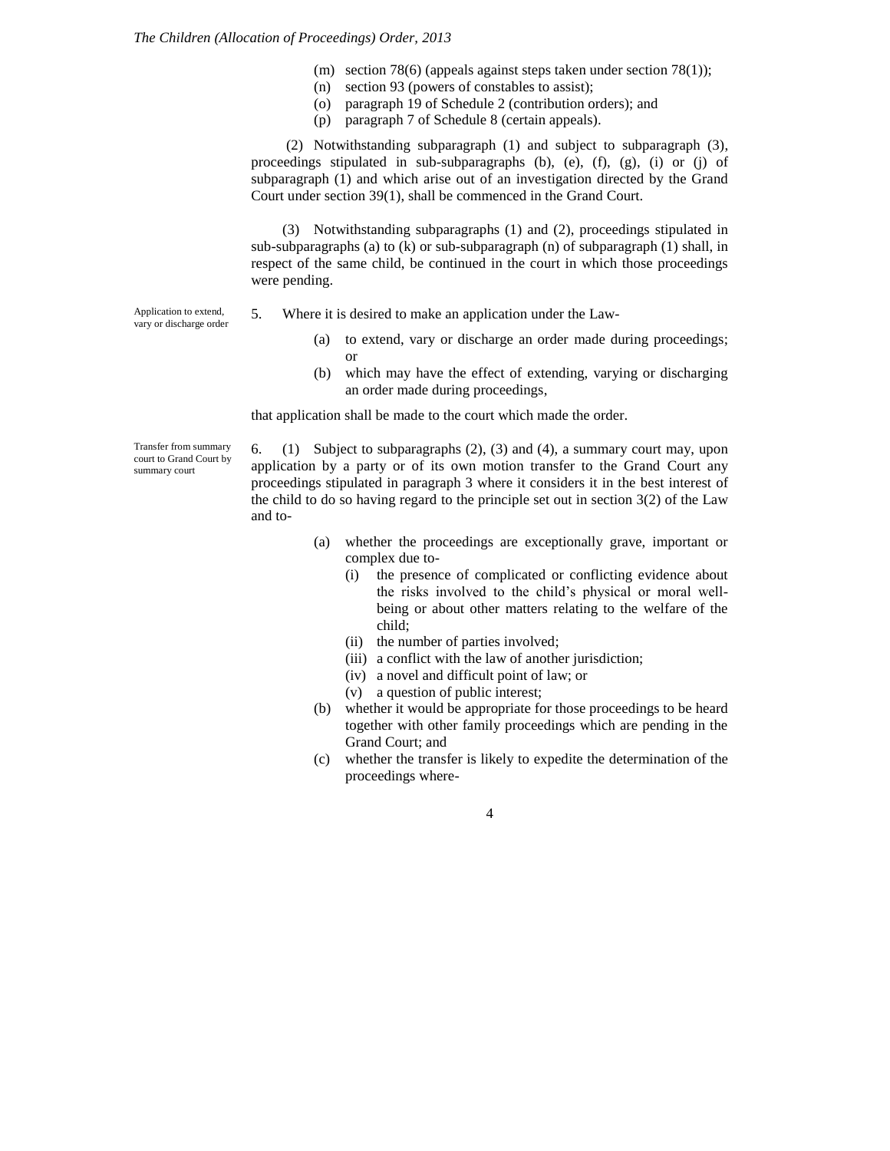- (m) section 78(6) (appeals against steps taken under section 78(1));
- (n) section 93 (powers of constables to assist);
- (o) paragraph 19 of Schedule 2 (contribution orders); and
- (p) paragraph 7 of Schedule 8 (certain appeals).

(2) Notwithstanding subparagraph (1) and subject to subparagraph (3), proceedings stipulated in sub-subparagraphs (b), (e), (f), (g), (i) or (j) of subparagraph (1) and which arise out of an investigation directed by the Grand Court under section 39(1), shall be commenced in the Grand Court.

(3) Notwithstanding subparagraphs (1) and (2), proceedings stipulated in sub-subparagraphs (a) to (k) or sub-subparagraph (n) of subparagraph (1) shall, in respect of the same child, be continued in the court in which those proceedings were pending.

Application to extend, vary or discharge order

5. Where it is desired to make an application under the Law-

- (a) to extend, vary or discharge an order made during proceedings; or
- (b) which may have the effect of extending, varying or discharging an order made during proceedings,

that application shall be made to the court which made the order.

Transfer from summary court to Grand Court by summary court

6. (1) Subject to subparagraphs (2), (3) and (4), a summary court may, upon application by a party or of its own motion transfer to the Grand Court any proceedings stipulated in paragraph 3 where it considers it in the best interest of the child to do so having regard to the principle set out in section  $3(2)$  of the Law and to-

- (a) whether the proceedings are exceptionally grave, important or complex due to-
	- (i) the presence of complicated or conflicting evidence about the risks involved to the child's physical or moral wellbeing or about other matters relating to the welfare of the child;
	- (ii) the number of parties involved;
	- (iii) a conflict with the law of another jurisdiction;
	- (iv) a novel and difficult point of law; or
	- (v) a question of public interest;
- (b) whether it would be appropriate for those proceedings to be heard together with other family proceedings which are pending in the Grand Court; and
- (c) whether the transfer is likely to expedite the determination of the proceedings where-